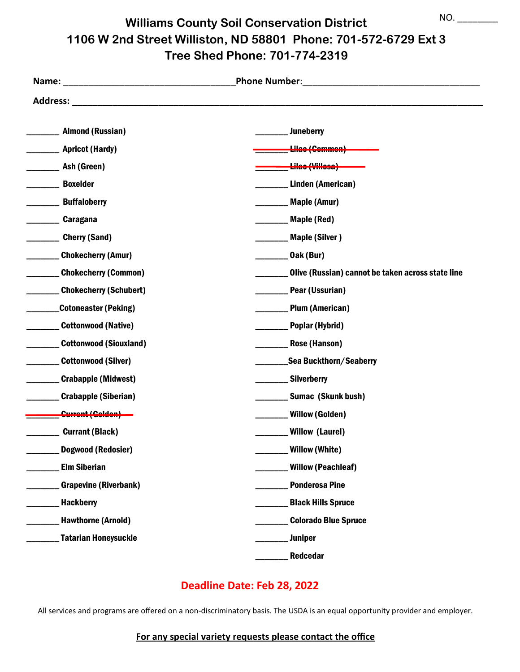**Williams County Soil Conservation District 1106 W 2nd Street Williston, ND 58801 Phone: 701-572-6729 Ext 3 Tree Shed Phone: 701-774-2319** NO. \_\_\_\_\_\_\_\_

|                               | <b>Phone Number:</b>                              |
|-------------------------------|---------------------------------------------------|
| <b>Address:</b>               |                                                   |
| <b>Almond (Russian)</b>       | <b>Juneberry</b>                                  |
| <b>Apricot (Hardy)</b>        | <del>Lilac (Common)</del>                         |
| Ash (Green)                   | <del>Lilac (Villosa)</del>                        |
| <b>Boxelder</b>               | Linden (American)                                 |
| <b>Buffaloberry</b>           | <b>Maple (Amur)</b>                               |
| Caragana                      | Maple (Red)                                       |
| <b>Cherry (Sand)</b>          | <b>Maple (Silver)</b>                             |
| <b>Chokecherry (Amur)</b>     | Oak (Bur)                                         |
| <b>Chokecherry (Common)</b>   | Olive (Russian) cannot be taken across state line |
| <b>Chokecherry (Schubert)</b> | Pear (Ussurian)                                   |
| <b>Cotoneaster (Peking)</b>   | <b>Plum (American)</b>                            |
| <b>Cottonwood (Native)</b>    | <b>Poplar (Hybrid)</b>                            |
| <b>Cottonwood (Siouxland)</b> | Rose (Hanson)                                     |
| <b>Cottonwood (Silver)</b>    | Sea Buckthorn/Seaberry                            |
| Crabapple (Midwest)           | Silverberry                                       |
| <b>Crabapple (Siberian)</b>   | Sumac (Skunk bush)                                |
| Current (Colden)              | ______ Willow (Golden)                            |
| <b>Currant (Black)</b>        | <b>Willow (Laurel)</b>                            |
| <b>Dogwood (Redosier)</b>     | Willow (White)                                    |
| <b>Elm Siberian</b>           | <b>Willow (Peachleaf)</b>                         |
| <b>Grapevine (Riverbank)</b>  | <b>Ponderosa Pine</b>                             |
| <b>Hackberry</b>              | <b>Black Hills Spruce</b>                         |
| <b>Hawthorne (Arnold)</b>     | <b>Colorado Blue Spruce</b>                       |
| <b>Tatarian Honeysuckle</b>   | <b>Juniper</b>                                    |
|                               | Redcedar                                          |

### **Deadline Date: Feb 28, 2022**

All services and programs are offered on a non-discriminatory basis. The USDA is an equal opportunity provider and employer.

#### **For any special variety requests please contact the office**